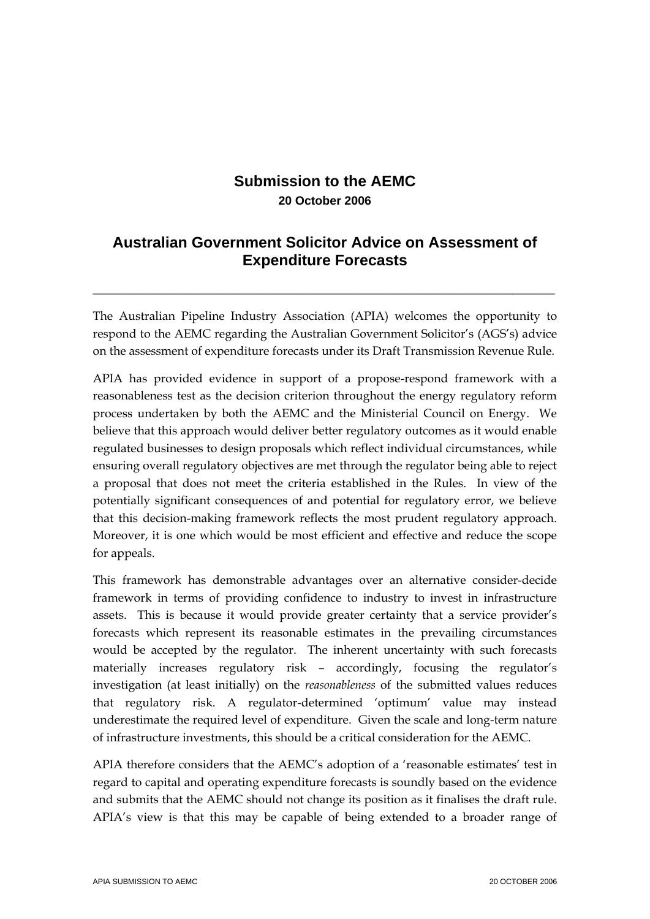# **Submission to the AEMC 20 October 2006**

## **Australian Government Solicitor Advice on Assessment of Expenditure Forecasts**

\_\_\_\_\_\_\_\_\_\_\_\_\_\_\_\_\_\_\_\_\_\_\_\_\_\_\_\_\_\_\_\_\_\_\_\_\_\_\_\_\_\_\_\_\_\_\_\_\_\_\_\_\_\_\_\_\_\_\_\_\_\_\_\_\_\_\_\_\_\_\_\_\_\_\_\_\_

The Australian Pipeline Industry Association (APIA) welcomes the opportunity to respond to the AEMC regarding the Australian Government Solicitor's (AGS's) advice on the assessment of expenditure forecasts under its Draft Transmission Revenue Rule.

APIA has provided evidence in support of a propose-respond framework with a reasonableness test as the decision criterion throughout the energy regulatory reform process undertaken by both the AEMC and the Ministerial Council on Energy. We believe that this approach would deliver better regulatory outcomes as it would enable regulated businesses to design proposals which reflect individual circumstances, while ensuring overall regulatory objectives are met through the regulator being able to reject a proposal that does not meet the criteria established in the Rules. In view of the potentially significant consequences of and potential for regulatory error, we believe that this decision-making framework reflects the most prudent regulatory approach. Moreover, it is one which would be most efficient and effective and reduce the scope for appeals.

This framework has demonstrable advantages over an alternative consider-decide framework in terms of providing confidence to industry to invest in infrastructure assets. This is because it would provide greater certainty that a service provider's forecasts which represent its reasonable estimates in the prevailing circumstances would be accepted by the regulator. The inherent uncertainty with such forecasts materially increases regulatory risk – accordingly, focusing the regulator's investigation (at least initially) on the *reasonableness* of the submitted values reduces that regulatory risk. A regulator-determined 'optimum' value may instead underestimate the required level of expenditure. Given the scale and long-term nature of infrastructure investments, this should be a critical consideration for the AEMC.

APIA therefore considers that the AEMC's adoption of a 'reasonable estimates' test in regard to capital and operating expenditure forecasts is soundly based on the evidence and submits that the AEMC should not change its position as it finalises the draft rule. APIA's view is that this may be capable of being extended to a broader range of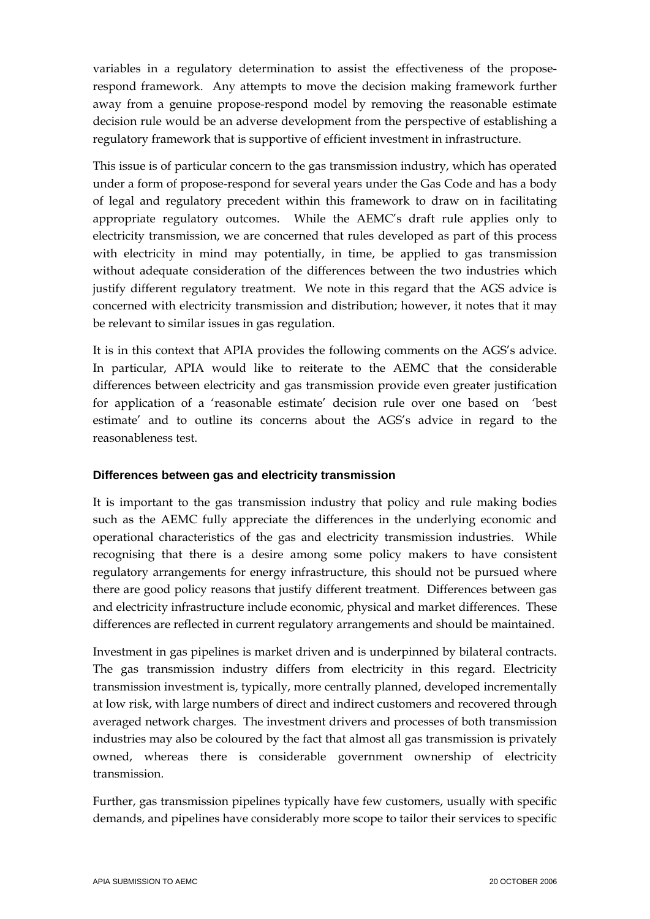variables in a regulatory determination to assist the effectiveness of the proposerespond framework. Any attempts to move the decision making framework further away from a genuine propose-respond model by removing the reasonable estimate decision rule would be an adverse development from the perspective of establishing a regulatory framework that is supportive of efficient investment in infrastructure.

This issue is of particular concern to the gas transmission industry, which has operated under a form of propose-respond for several years under the Gas Code and has a body of legal and regulatory precedent within this framework to draw on in facilitating appropriate regulatory outcomes. While the AEMC's draft rule applies only to electricity transmission, we are concerned that rules developed as part of this process with electricity in mind may potentially, in time, be applied to gas transmission without adequate consideration of the differences between the two industries which justify different regulatory treatment. We note in this regard that the AGS advice is concerned with electricity transmission and distribution; however, it notes that it may be relevant to similar issues in gas regulation.

It is in this context that APIA provides the following comments on the AGS's advice. In particular, APIA would like to reiterate to the AEMC that the considerable differences between electricity and gas transmission provide even greater justification for application of a 'reasonable estimate' decision rule over one based on 'best estimate' and to outline its concerns about the AGS's advice in regard to the reasonableness test.

## **Differences between gas and electricity transmission**

It is important to the gas transmission industry that policy and rule making bodies such as the AEMC fully appreciate the differences in the underlying economic and operational characteristics of the gas and electricity transmission industries. While recognising that there is a desire among some policy makers to have consistent regulatory arrangements for energy infrastructure, this should not be pursued where there are good policy reasons that justify different treatment. Differences between gas and electricity infrastructure include economic, physical and market differences. These differences are reflected in current regulatory arrangements and should be maintained.

Investment in gas pipelines is market driven and is underpinned by bilateral contracts. The gas transmission industry differs from electricity in this regard. Electricity transmission investment is, typically, more centrally planned, developed incrementally at low risk, with large numbers of direct and indirect customers and recovered through averaged network charges. The investment drivers and processes of both transmission industries may also be coloured by the fact that almost all gas transmission is privately owned, whereas there is considerable government ownership of electricity transmission.

Further, gas transmission pipelines typically have few customers, usually with specific demands, and pipelines have considerably more scope to tailor their services to specific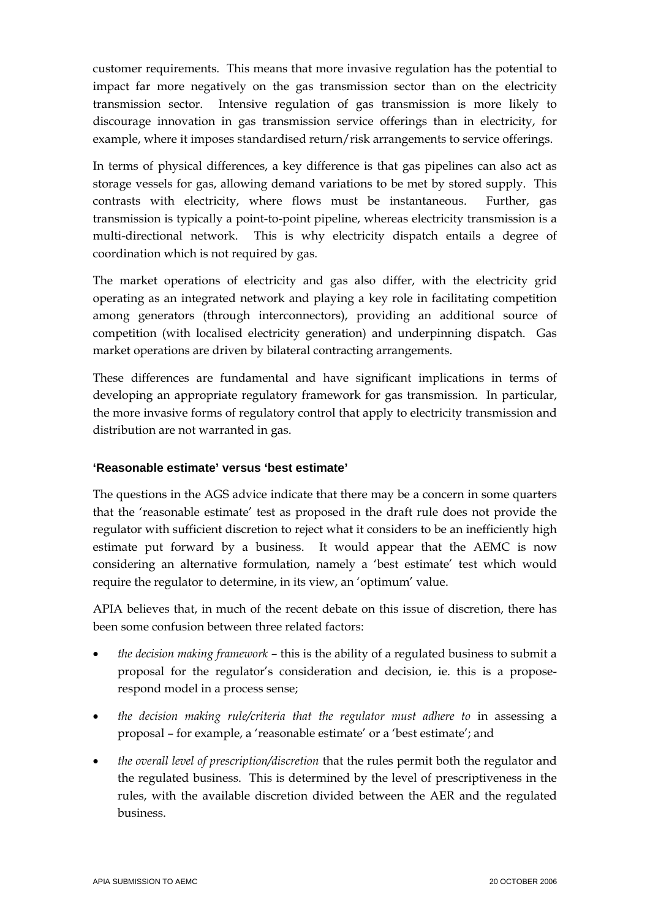customer requirements. This means that more invasive regulation has the potential to impact far more negatively on the gas transmission sector than on the electricity transmission sector. Intensive regulation of gas transmission is more likely to discourage innovation in gas transmission service offerings than in electricity, for example, where it imposes standardised return/risk arrangements to service offerings.

In terms of physical differences, a key difference is that gas pipelines can also act as storage vessels for gas, allowing demand variations to be met by stored supply. This contrasts with electricity, where flows must be instantaneous. Further, gas transmission is typically a point-to-point pipeline, whereas electricity transmission is a multi-directional network. This is why electricity dispatch entails a degree of coordination which is not required by gas.

The market operations of electricity and gas also differ, with the electricity grid operating as an integrated network and playing a key role in facilitating competition among generators (through interconnectors), providing an additional source of competition (with localised electricity generation) and underpinning dispatch. Gas market operations are driven by bilateral contracting arrangements.

These differences are fundamental and have significant implications in terms of developing an appropriate regulatory framework for gas transmission. In particular, the more invasive forms of regulatory control that apply to electricity transmission and distribution are not warranted in gas.

## **'Reasonable estimate' versus 'best estimate'**

The questions in the AGS advice indicate that there may be a concern in some quarters that the 'reasonable estimate' test as proposed in the draft rule does not provide the regulator with sufficient discretion to reject what it considers to be an inefficiently high estimate put forward by a business. It would appear that the AEMC is now considering an alternative formulation, namely a 'best estimate' test which would require the regulator to determine, in its view, an 'optimum' value.

APIA believes that, in much of the recent debate on this issue of discretion, there has been some confusion between three related factors:

- *the decision making framework* this is the ability of a regulated business to submit a proposal for the regulator's consideration and decision, ie. this is a proposerespond model in a process sense;
- *the decision making rule/criteria that the regulator must adhere to in assessing a* proposal – for example, a 'reasonable estimate' or a 'best estimate'; and
- *the overall level of prescription/discretion* that the rules permit both the regulator and the regulated business. This is determined by the level of prescriptiveness in the rules, with the available discretion divided between the AER and the regulated business.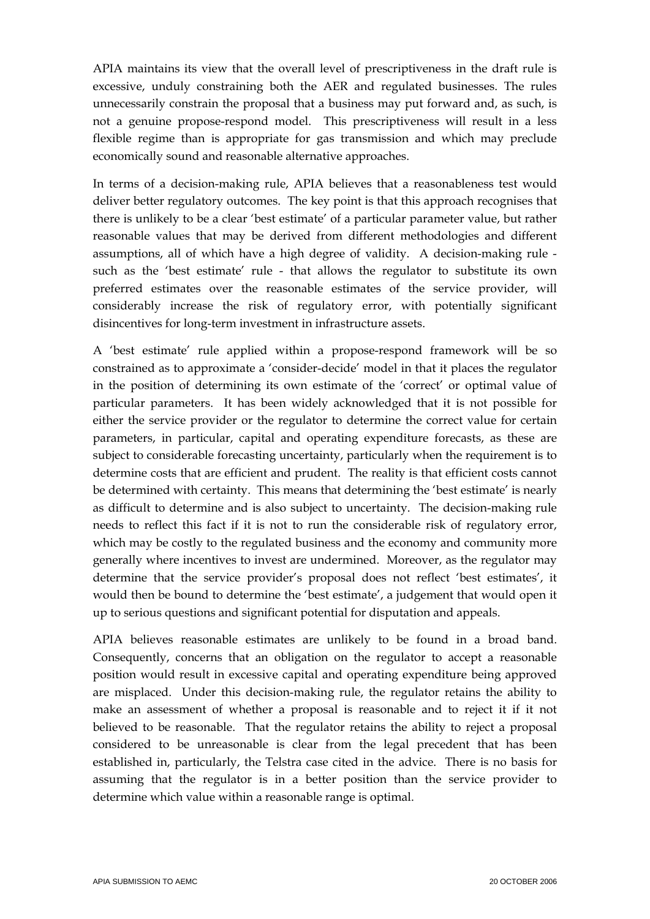APIA maintains its view that the overall level of prescriptiveness in the draft rule is excessive, unduly constraining both the AER and regulated businesses. The rules unnecessarily constrain the proposal that a business may put forward and, as such, is not a genuine propose-respond model. This prescriptiveness will result in a less flexible regime than is appropriate for gas transmission and which may preclude economically sound and reasonable alternative approaches.

In terms of a decision-making rule, APIA believes that a reasonableness test would deliver better regulatory outcomes. The key point is that this approach recognises that there is unlikely to be a clear 'best estimate' of a particular parameter value, but rather reasonable values that may be derived from different methodologies and different assumptions, all of which have a high degree of validity. A decision-making rule such as the 'best estimate' rule - that allows the regulator to substitute its own preferred estimates over the reasonable estimates of the service provider, will considerably increase the risk of regulatory error, with potentially significant disincentives for long-term investment in infrastructure assets.

A 'best estimate' rule applied within a propose-respond framework will be so constrained as to approximate a 'consider-decide' model in that it places the regulator in the position of determining its own estimate of the 'correct' or optimal value of particular parameters. It has been widely acknowledged that it is not possible for either the service provider or the regulator to determine the correct value for certain parameters, in particular, capital and operating expenditure forecasts, as these are subject to considerable forecasting uncertainty, particularly when the requirement is to determine costs that are efficient and prudent. The reality is that efficient costs cannot be determined with certainty. This means that determining the 'best estimate' is nearly as difficult to determine and is also subject to uncertainty. The decision-making rule needs to reflect this fact if it is not to run the considerable risk of regulatory error, which may be costly to the regulated business and the economy and community more generally where incentives to invest are undermined. Moreover, as the regulator may determine that the service provider's proposal does not reflect 'best estimates', it would then be bound to determine the 'best estimate', a judgement that would open it up to serious questions and significant potential for disputation and appeals.

APIA believes reasonable estimates are unlikely to be found in a broad band. Consequently, concerns that an obligation on the regulator to accept a reasonable position would result in excessive capital and operating expenditure being approved are misplaced. Under this decision-making rule, the regulator retains the ability to make an assessment of whether a proposal is reasonable and to reject it if it not believed to be reasonable. That the regulator retains the ability to reject a proposal considered to be unreasonable is clear from the legal precedent that has been established in, particularly, the Telstra case cited in the advice. There is no basis for assuming that the regulator is in a better position than the service provider to determine which value within a reasonable range is optimal.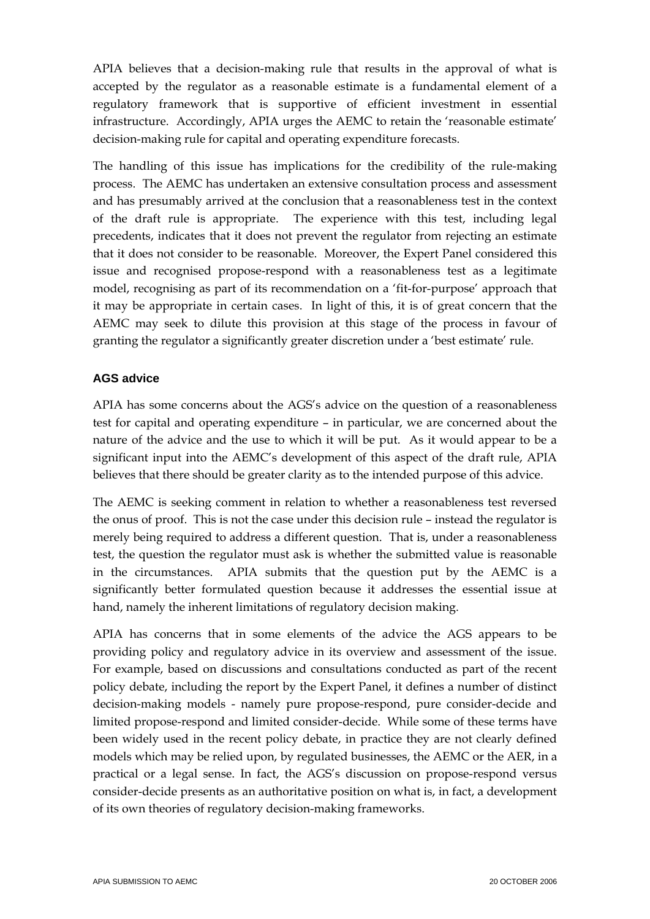APIA believes that a decision-making rule that results in the approval of what is accepted by the regulator as a reasonable estimate is a fundamental element of a regulatory framework that is supportive of efficient investment in essential infrastructure. Accordingly, APIA urges the AEMC to retain the 'reasonable estimate' decision-making rule for capital and operating expenditure forecasts.

The handling of this issue has implications for the credibility of the rule-making process. The AEMC has undertaken an extensive consultation process and assessment and has presumably arrived at the conclusion that a reasonableness test in the context of the draft rule is appropriate. The experience with this test, including legal precedents, indicates that it does not prevent the regulator from rejecting an estimate that it does not consider to be reasonable. Moreover, the Expert Panel considered this issue and recognised propose-respond with a reasonableness test as a legitimate model, recognising as part of its recommendation on a 'fit-for-purpose' approach that it may be appropriate in certain cases. In light of this, it is of great concern that the AEMC may seek to dilute this provision at this stage of the process in favour of granting the regulator a significantly greater discretion under a 'best estimate' rule.

#### **AGS advice**

APIA has some concerns about the AGS's advice on the question of a reasonableness test for capital and operating expenditure – in particular, we are concerned about the nature of the advice and the use to which it will be put. As it would appear to be a significant input into the AEMC's development of this aspect of the draft rule, APIA believes that there should be greater clarity as to the intended purpose of this advice.

The AEMC is seeking comment in relation to whether a reasonableness test reversed the onus of proof. This is not the case under this decision rule – instead the regulator is merely being required to address a different question. That is, under a reasonableness test, the question the regulator must ask is whether the submitted value is reasonable in the circumstances. APIA submits that the question put by the AEMC is a significantly better formulated question because it addresses the essential issue at hand, namely the inherent limitations of regulatory decision making.

APIA has concerns that in some elements of the advice the AGS appears to be providing policy and regulatory advice in its overview and assessment of the issue. For example, based on discussions and consultations conducted as part of the recent policy debate, including the report by the Expert Panel, it defines a number of distinct decision-making models - namely pure propose-respond, pure consider-decide and limited propose-respond and limited consider-decide. While some of these terms have been widely used in the recent policy debate, in practice they are not clearly defined models which may be relied upon, by regulated businesses, the AEMC or the AER, in a practical or a legal sense. In fact, the AGS's discussion on propose-respond versus consider-decide presents as an authoritative position on what is, in fact, a development of its own theories of regulatory decision-making frameworks.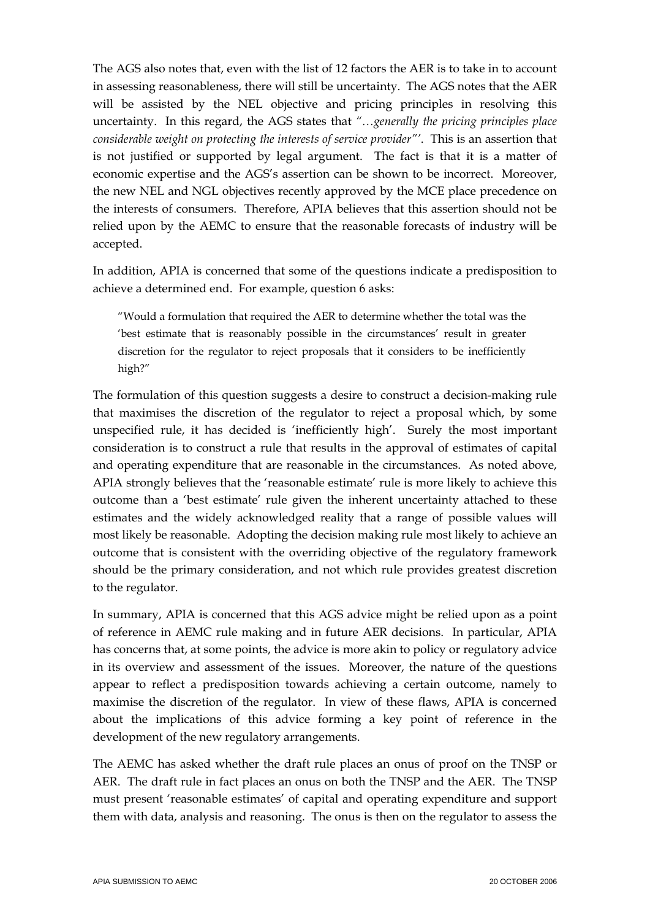The AGS also notes that, even with the list of 12 factors the AER is to take in to account in assessing reasonableness, there will still be uncertainty. The AGS notes that the AER will be assisted by the NEL objective and pricing principles in resolving this uncertainty. In this regard, the AGS states that *"…generally the pricing principles place considerable weight on protecting the interests of service provider"'*. This is an assertion that is not justified or supported by legal argument. The fact is that it is a matter of economic expertise and the AGS's assertion can be shown to be incorrect. Moreover, the new NEL and NGL objectives recently approved by the MCE place precedence on the interests of consumers. Therefore, APIA believes that this assertion should not be relied upon by the AEMC to ensure that the reasonable forecasts of industry will be accepted.

In addition, APIA is concerned that some of the questions indicate a predisposition to achieve a determined end. For example, question 6 asks:

"Would a formulation that required the AER to determine whether the total was the 'best estimate that is reasonably possible in the circumstances' result in greater discretion for the regulator to reject proposals that it considers to be inefficiently high?"

The formulation of this question suggests a desire to construct a decision-making rule that maximises the discretion of the regulator to reject a proposal which, by some unspecified rule, it has decided is 'inefficiently high'. Surely the most important consideration is to construct a rule that results in the approval of estimates of capital and operating expenditure that are reasonable in the circumstances. As noted above, APIA strongly believes that the 'reasonable estimate' rule is more likely to achieve this outcome than a 'best estimate' rule given the inherent uncertainty attached to these estimates and the widely acknowledged reality that a range of possible values will most likely be reasonable. Adopting the decision making rule most likely to achieve an outcome that is consistent with the overriding objective of the regulatory framework should be the primary consideration, and not which rule provides greatest discretion to the regulator.

In summary, APIA is concerned that this AGS advice might be relied upon as a point of reference in AEMC rule making and in future AER decisions. In particular, APIA has concerns that, at some points, the advice is more akin to policy or regulatory advice in its overview and assessment of the issues. Moreover, the nature of the questions appear to reflect a predisposition towards achieving a certain outcome, namely to maximise the discretion of the regulator. In view of these flaws, APIA is concerned about the implications of this advice forming a key point of reference in the development of the new regulatory arrangements.

The AEMC has asked whether the draft rule places an onus of proof on the TNSP or AER. The draft rule in fact places an onus on both the TNSP and the AER. The TNSP must present 'reasonable estimates' of capital and operating expenditure and support them with data, analysis and reasoning. The onus is then on the regulator to assess the